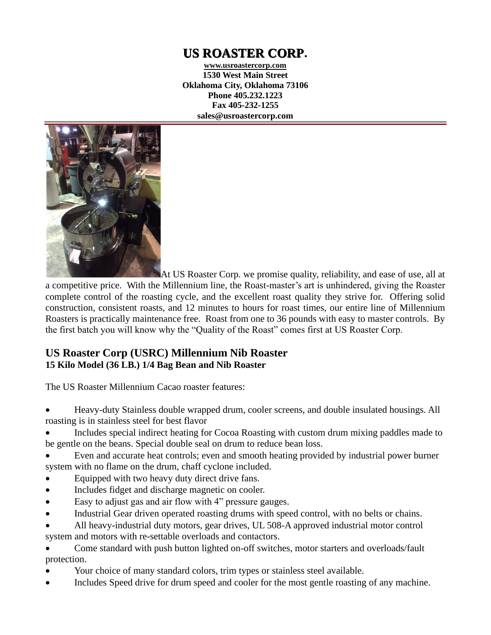# **US ROASTER CORP.**

**www.usroastercorp.com 1530 West Main Street Oklahoma City, Oklahoma 73106 Phone 405.232.1223 Fax 405-232-1255 sales@usroastercorp.com**



At US Roaster Corp. we promise quality, reliability, and ease of use, all at a competitive price. With the Millennium line, the Roast-master's art is unhindered, giving the Roaster complete control of the roasting cycle, and the excellent roast quality they strive for. Offering solid construction, consistent roasts, and 12 minutes to hours for roast times, our entire line of Millennium Roasters is practically maintenance free. Roast from one to 36 pounds with easy to master controls. By the first batch you will know why the "Quality of the Roast" comes first at US Roaster Corp.

## **US Roaster Corp (USRC) Millennium Nib Roaster 15 Kilo Model (36 LB.) 1/4 Bag Bean and Nib Roaster**

The US Roaster Millennium Cacao roaster features:

• Heavy-duty Stainless double wrapped drum, cooler screens, and double insulated housings. All roasting is in stainless steel for best flavor

• Includes special indirect heating for Cocoa Roasting with custom drum mixing paddles made to be gentle on the beans. Special double seal on drum to reduce bean loss.

• Even and accurate heat controls; even and smooth heating provided by industrial power burner system with no flame on the drum, chaff cyclone included.

- Equipped with two heavy duty direct drive fans.
- Includes fidget and discharge magnetic on cooler.
- Easy to adjust gas and air flow with 4" pressure gauges.
- Industrial Gear driven operated roasting drums with speed control, with no belts or chains.
- All heavy-industrial duty motors, gear drives, UL 508-A approved industrial motor control system and motors with re-settable overloads and contactors.

• Come standard with push button lighted on-off switches, motor starters and overloads/fault protection.

- Your choice of many standard colors, trim types or stainless steel available.
- Includes Speed drive for drum speed and cooler for the most gentle roasting of any machine.